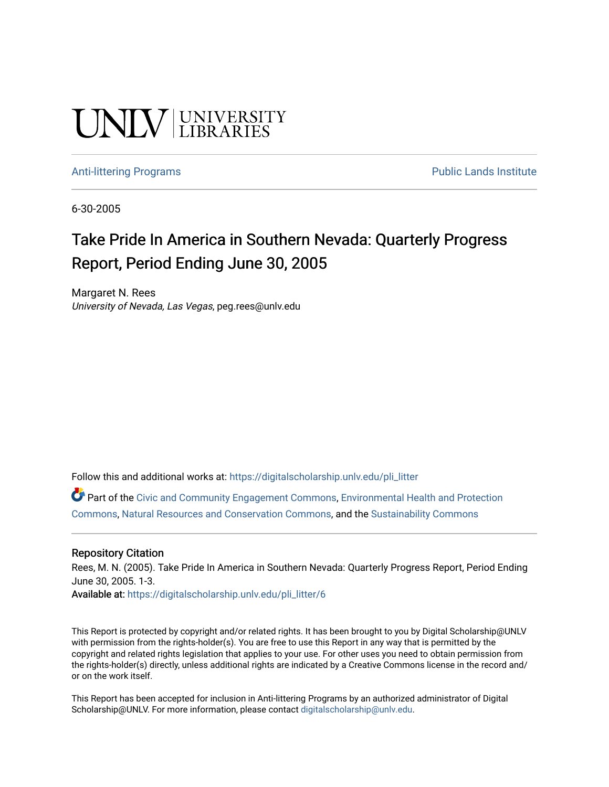# UNIV UNIVERSITY

#### [Anti-littering Programs](https://digitalscholarship.unlv.edu/pli_litter) **Public Lands Institute** Public Lands Institute

6-30-2005

# Take Pride In America in Southern Nevada: Quarterly Progress Report, Period Ending June 30, 2005

Margaret N. Rees University of Nevada, Las Vegas, peg.rees@unlv.edu

Follow this and additional works at: [https://digitalscholarship.unlv.edu/pli\\_litter](https://digitalscholarship.unlv.edu/pli_litter?utm_source=digitalscholarship.unlv.edu%2Fpli_litter%2F6&utm_medium=PDF&utm_campaign=PDFCoverPages) 

Part of the [Civic and Community Engagement Commons](http://network.bepress.com/hgg/discipline/1028?utm_source=digitalscholarship.unlv.edu%2Fpli_litter%2F6&utm_medium=PDF&utm_campaign=PDFCoverPages), [Environmental Health and Protection](http://network.bepress.com/hgg/discipline/172?utm_source=digitalscholarship.unlv.edu%2Fpli_litter%2F6&utm_medium=PDF&utm_campaign=PDFCoverPages)  [Commons](http://network.bepress.com/hgg/discipline/172?utm_source=digitalscholarship.unlv.edu%2Fpli_litter%2F6&utm_medium=PDF&utm_campaign=PDFCoverPages), [Natural Resources and Conservation Commons](http://network.bepress.com/hgg/discipline/168?utm_source=digitalscholarship.unlv.edu%2Fpli_litter%2F6&utm_medium=PDF&utm_campaign=PDFCoverPages), and the [Sustainability Commons](http://network.bepress.com/hgg/discipline/1031?utm_source=digitalscholarship.unlv.edu%2Fpli_litter%2F6&utm_medium=PDF&utm_campaign=PDFCoverPages)

#### Repository Citation

Rees, M. N. (2005). Take Pride In America in Southern Nevada: Quarterly Progress Report, Period Ending June 30, 2005. 1-3.

Available at: [https://digitalscholarship.unlv.edu/pli\\_litter/6](https://digitalscholarship.unlv.edu/pli_litter/6) 

This Report is protected by copyright and/or related rights. It has been brought to you by Digital Scholarship@UNLV with permission from the rights-holder(s). You are free to use this Report in any way that is permitted by the copyright and related rights legislation that applies to your use. For other uses you need to obtain permission from the rights-holder(s) directly, unless additional rights are indicated by a Creative Commons license in the record and/ or on the work itself.

This Report has been accepted for inclusion in Anti-littering Programs by an authorized administrator of Digital Scholarship@UNLV. For more information, please contact [digitalscholarship@unlv.edu.](mailto:digitalscholarship@unlv.edu)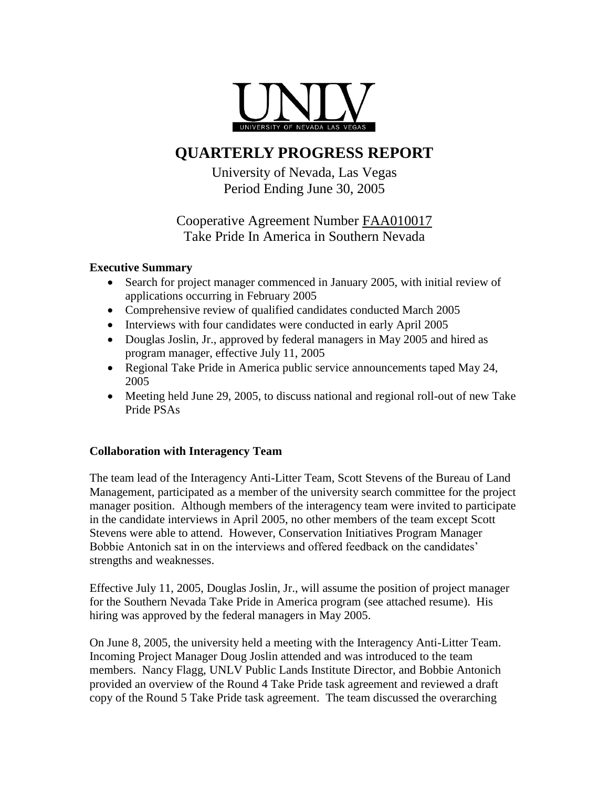

# **QUARTERLY PROGRESS REPORT**

University of Nevada, Las Vegas Period Ending June 30, 2005

# Cooperative Agreement Number FAA010017 Take Pride In America in Southern Nevada

## **Executive Summary**

- Search for project manager commenced in January 2005, with initial review of applications occurring in February 2005
- Comprehensive review of qualified candidates conducted March 2005
- Interviews with four candidates were conducted in early April 2005
- Douglas Joslin, Jr., approved by federal managers in May 2005 and hired as program manager, effective July 11, 2005
- Regional Take Pride in America public service announcements taped May 24, 2005
- Meeting held June 29, 2005, to discuss national and regional roll-out of new Take Pride PSAs

## **Collaboration with Interagency Team**

The team lead of the Interagency Anti-Litter Team, Scott Stevens of the Bureau of Land Management, participated as a member of the university search committee for the project manager position. Although members of the interagency team were invited to participate in the candidate interviews in April 2005, no other members of the team except Scott Stevens were able to attend. However, Conservation Initiatives Program Manager Bobbie Antonich sat in on the interviews and offered feedback on the candidates' strengths and weaknesses.

Effective July 11, 2005, Douglas Joslin, Jr., will assume the position of project manager for the Southern Nevada Take Pride in America program (see attached resume). His hiring was approved by the federal managers in May 2005.

On June 8, 2005, the university held a meeting with the Interagency Anti-Litter Team. Incoming Project Manager Doug Joslin attended and was introduced to the team members. Nancy Flagg, UNLV Public Lands Institute Director, and Bobbie Antonich provided an overview of the Round 4 Take Pride task agreement and reviewed a draft copy of the Round 5 Take Pride task agreement. The team discussed the overarching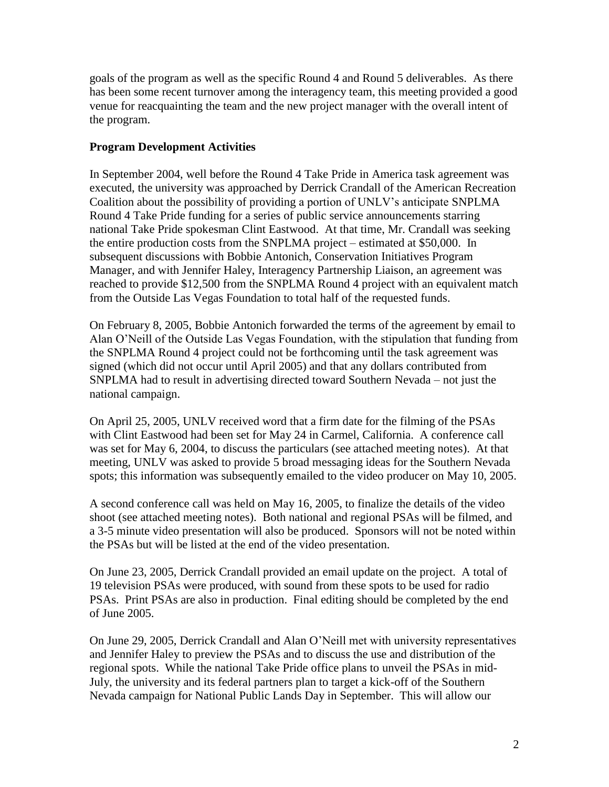goals of the program as well as the specific Round 4 and Round 5 deliverables. As there has been some recent turnover among the interagency team, this meeting provided a good venue for reacquainting the team and the new project manager with the overall intent of the program.

### **Program Development Activities**

In September 2004, well before the Round 4 Take Pride in America task agreement was executed, the university was approached by Derrick Crandall of the American Recreation Coalition about the possibility of providing a portion of UNLV's anticipate SNPLMA Round 4 Take Pride funding for a series of public service announcements starring national Take Pride spokesman Clint Eastwood. At that time, Mr. Crandall was seeking the entire production costs from the SNPLMA project – estimated at \$50,000. In subsequent discussions with Bobbie Antonich, Conservation Initiatives Program Manager, and with Jennifer Haley, Interagency Partnership Liaison, an agreement was reached to provide \$12,500 from the SNPLMA Round 4 project with an equivalent match from the Outside Las Vegas Foundation to total half of the requested funds.

On February 8, 2005, Bobbie Antonich forwarded the terms of the agreement by email to Alan O'Neill of the Outside Las Vegas Foundation, with the stipulation that funding from the SNPLMA Round 4 project could not be forthcoming until the task agreement was signed (which did not occur until April 2005) and that any dollars contributed from SNPLMA had to result in advertising directed toward Southern Nevada – not just the national campaign.

On April 25, 2005, UNLV received word that a firm date for the filming of the PSAs with Clint Eastwood had been set for May 24 in Carmel, California. A conference call was set for May 6, 2004, to discuss the particulars (see attached meeting notes). At that meeting, UNLV was asked to provide 5 broad messaging ideas for the Southern Nevada spots; this information was subsequently emailed to the video producer on May 10, 2005.

A second conference call was held on May 16, 2005, to finalize the details of the video shoot (see attached meeting notes). Both national and regional PSAs will be filmed, and a 3-5 minute video presentation will also be produced. Sponsors will not be noted within the PSAs but will be listed at the end of the video presentation.

On June 23, 2005, Derrick Crandall provided an email update on the project. A total of 19 television PSAs were produced, with sound from these spots to be used for radio PSAs. Print PSAs are also in production. Final editing should be completed by the end of June 2005.

On June 29, 2005, Derrick Crandall and Alan O'Neill met with university representatives and Jennifer Haley to preview the PSAs and to discuss the use and distribution of the regional spots. While the national Take Pride office plans to unveil the PSAs in mid-July, the university and its federal partners plan to target a kick-off of the Southern Nevada campaign for National Public Lands Day in September. This will allow our